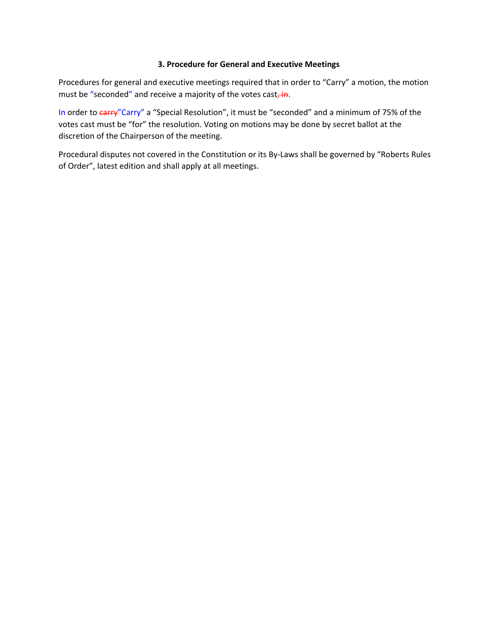#### **3. Procedure for General and Executive Meetings**

Procedures for general and executive meetings required that in order to "Carry" a motion, the motion must be "seconded" and receive a majority of the votes cast, in.

In order to *carry*"Carry" a "Special Resolution", it must be "seconded" and a minimum of 75% of the votes cast must be "for" the resolution. Voting on motions may be done by secret ballot at the discretion of the Chairperson of the meeting.

Procedural disputes not covered in the Constitution or its By‐Laws shall be governed by "Roberts Rules of Order", latest edition and shall apply at all meetings.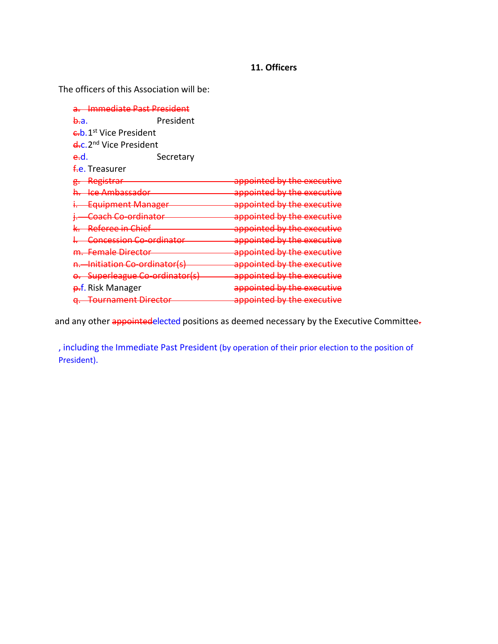# **11. Officers**

The officers of this Association will be:

| <del>Immediate Past President</del> |                                    |                                                                     |
|-------------------------------------|------------------------------------|---------------------------------------------------------------------|
| <del>b.</del> a.                    | President                          |                                                                     |
|                                     | eb. 1 <sup>st</sup> Vice President |                                                                     |
| e.c. 2 <sup>nd</sup> Vice President |                                    |                                                                     |
| e-d.                                | Secretary                          |                                                                     |
| <del>f.</del> e. Treasurer          |                                    |                                                                     |
|                                     | Registrar                          | annointad by tha avocutiva<br><del>appointed by the executive</del> |
|                                     | <b>Ice Ambassador</b>              | appointed by the executive                                          |
|                                     | <b>Equipment Manager</b>           | appointed by the executive                                          |
|                                     | <del>Coach Co-ordinator</del>      | appointed by the executive                                          |
|                                     | <del>Referee in Chief</del>        | appointed by the executive                                          |
|                                     | Concession Co-ordinator            | appointed by the executive                                          |
|                                     | <del>m.  Female Director</del>     | appointed by the executive                                          |
|                                     | Initiation Co-ordinator(s)         | appointed by the executive                                          |
|                                     | Superleague Co-ordinator(s)        | appointed by the executive                                          |
|                                     | <del>p.</del> f. Risk Manager      | appointed by the executive                                          |
|                                     | <b>Tournament Director</b>         | appointed by the executive                                          |

and any other appointedelected positions as deemed necessary by the Executive Committee.

, including the Immediate Past President (by operation of their prior election to the position of President).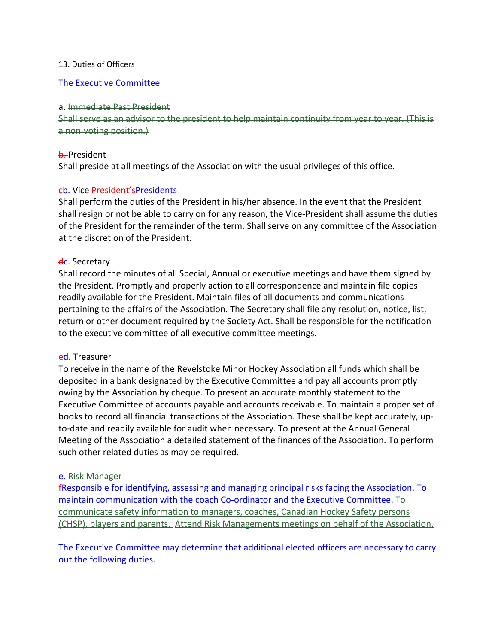### 13. Duties of Officers

### The Executive Committee

#### a. Immediate Past President

Shall serve as an advisor to the presi a non‐voting position.)

#### **b.** President

Shall preside at all meetings of the Association with the usual privileges of this office.

### cb. Vice President'sPresidents

Shall perform the duties of the President in his/her absence. In the event that the President shall resign or not be able to carry on for any reason, the Vice-President shall assume the duties of the President for the remainder of the term. Shall serve on any committee of the Association at the discretion of the President.

### **dc.** Secretary

Shall record the minutes of all Special, Annual or executive meetings and have them signed by the President. Promptly and properly action to all correspondence and maintain file copies readily available for the President. Maintain files of all documents and communications pertaining to the affairs of the Association. The Secretary shall file any resolution, notice, list, return or other document required by the Society Act. Shall be responsible for the notification to the executive committee of all executive committee meetings.

### ed. Treasurer

To receive in the name of the Revelstoke Minor Hockey Association all funds which shall be deposited in a bank designated by the Executive Committee and pay all accounts promptly owing by the Association by cheque. To present an accurate monthly statement to the Executive Committee of accounts payable and accounts receivable. To maintain a proper set of books to record all financial transactions of the Association. These shall be kept accurately, up‐ to-date and readily available for audit when necessary. To present at the Annual General Meeting of the Association a detailed statement of the finances of the Association. To perform such other related duties as may be required.

### e. Risk Manager

fResponsible for identifying, assessing and managing principal risks facing the Association. To maintain communication with the coach Co-ordinator and the Executive Committee. To communicate safety information to managers, coaches, Canadian Hockey Safety persons (CHSP), players and parents. Attend Risk Managements meetings on behalf of the Association.

The Executive Committee may determine that additional elected officers are necessary to carry out the following duties.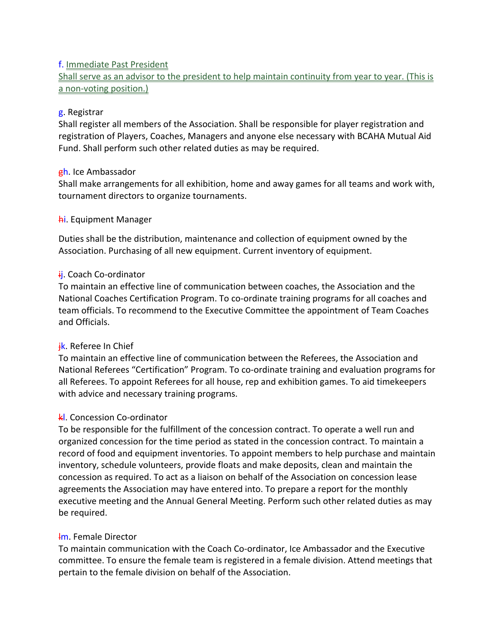# f. Immediate Past President

Shall serve as an advisor to the president to help maintain continuity from year to year. (This is a non-voting position.)

# g. Registrar

Shall register all members of the Association. Shall be responsible for player registration and registration of Players, Coaches, Managers and anyone else necessary with BCAHA Mutual Aid Fund. Shall perform such other related duties as may be required.

# gh. Ice Ambassador

Shall make arrangements for all exhibition, home and away games for all teams and work with, tournament directors to organize tournaments.

# **hi.** Equipment Manager

Duties shall be the distribution, maintenance and collection of equipment owned by the Association. Purchasing of all new equipment. Current inventory of equipment.

# ii. Coach Co-ordinator

To maintain an effective line of communication between coaches, the Association and the National Coaches Certification Program. To co‐ordinate training programs for all coaches and team officials. To recommend to the Executive Committee the appointment of Team Coaches and Officials.

# ik. Referee In Chief

To maintain an effective line of communication between the Referees, the Association and National Referees "Certification" Program. To co‐ordinate training and evaluation programs for all Referees. To appoint Referees for all house, rep and exhibition games. To aid timekeepers with advice and necessary training programs.

# kl. Concession Co-ordinator

To be responsible for the fulfillment of the concession contract. To operate a well run and organized concession for the time period as stated in the concession contract. To maintain a record of food and equipment inventories. To appoint members to help purchase and maintain inventory, schedule volunteers, provide floats and make deposits, clean and maintain the concession as required. To act as a liaison on behalf of the Association on concession lease agreements the Association may have entered into. To prepare a report for the monthly executive meeting and the Annual General Meeting. Perform such other related duties as may be required.

## lm. Female Director

To maintain communication with the Coach Co‐ordinator, Ice Ambassador and the Executive committee. To ensure the female team is registered in a female division. Attend meetings that pertain to the female division on behalf of the Association.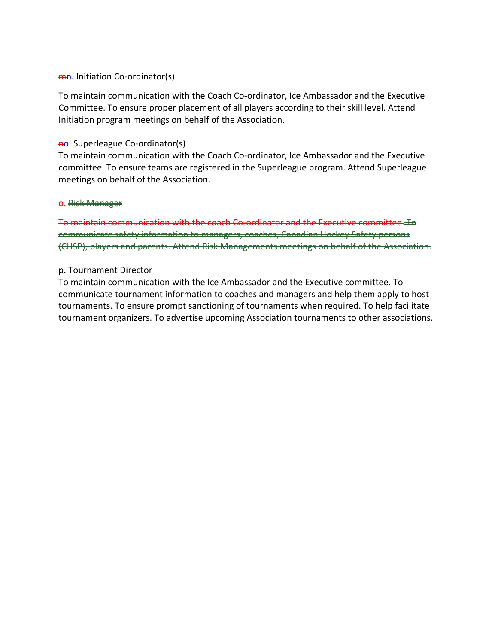### mn. Initiation Co-ordinator(s)

To maintain communication with the Coach Co‐ordinator, Ice Ambassador and the Executive Committee. To ensure proper placement of all players according to their skill level. Attend Initiation program meetings on behalf of the Association.

### no. Superleague Co‐ordinator(s)

To maintain communication with the Coach Co‐ordinator, Ice Ambassador and the Executive committee. To ensure teams are registered in the Superleague program. Attend Superleague meetings on behalf of the Association.

#### o. Risk Manager

To maintain communication with the coach Co-ordinator and the Executive committee. To communicate safety information to managers, coaches, Canadian Hockey Safety persons (CHSP), players and parents. Attend Risk Managements meetings on behalf of the Association.

## p. Tournament Director

To maintain communication with the Ice Ambassador and the Executive committee. To communicate tournament information to coaches and managers and help them apply to host tournaments. To ensure prompt sanctioning of tournaments when required. To help facilitate tournament organizers. To advertise upcoming Association tournaments to other associations.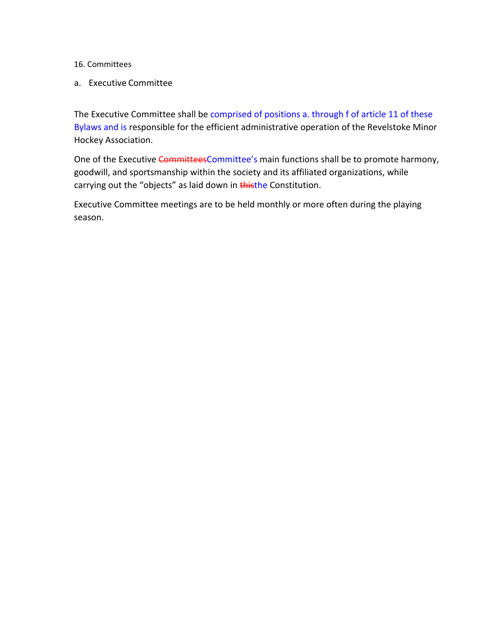- 16. Committees
- a. Executive Committee

The Executive Committee shall be comprised of positions a. through f of article 11 of these Bylaws and is responsible for the efficient administrative operation of the Revelstoke Minor Hockey Association.

One of the Executive CommitteesCommittee's main functions shall be to promote harmony, goodwill, and sportsmanship within the society and its affiliated organizations, while carrying out the "objects" as laid down in thisthe Constitution.

Executive Committee meetings are to be held monthly or more often during the playing season.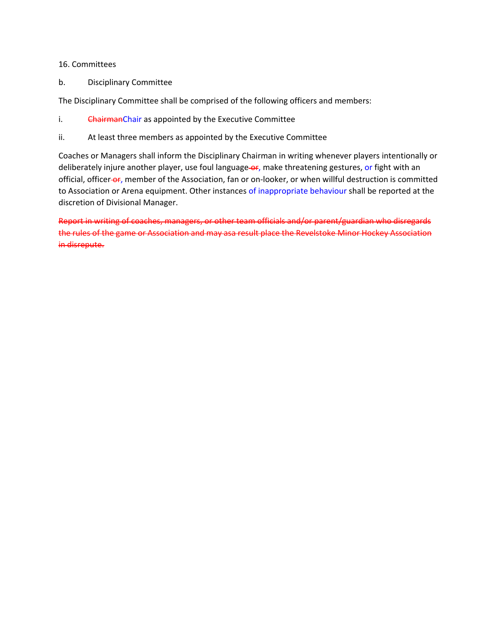#### 16. Committees

b. Disciplinary Committee

The Disciplinary Committee shall be comprised of the following officers and members:

- i. ChairmanChair as appointed by the Executive Committee
- ii. At least three members as appointed by the Executive Committee

Coaches or Managers shall inform the Disciplinary Chairman in writing whenever players intentionally or deliberately injure another player, use foul language-or, make threatening gestures, or fight with an official, officer-or, member of the Association, fan or on-looker, or when willful destruction is committed to Association or Arena equipment. Other instances of inappropriate behaviour shall be reported at the discretion of Divisional Manager.

Report in writing of coaches, managers, or other team officials and/or parent/guardian who disregards the rules of the game or Association and may asa result place the Revelstoke Minor Hockey Association in disrepute.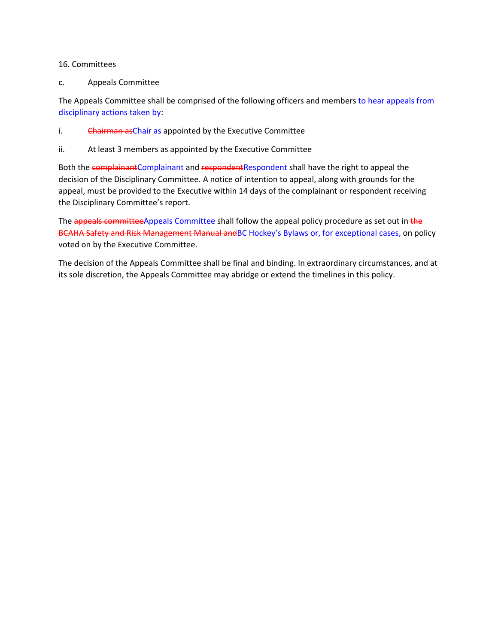#### 16. Committees

c. Appeals Committee

The Appeals Committee shall be comprised of the following officers and members to hear appeals from disciplinary actions taken by:

- i. Chairman as Chair as appointed by the Executive Committee
- ii. At least 3 members as appointed by the Executive Committee

Both the complainantComplainant and respondentRespondent shall have the right to appeal the decision of the Disciplinary Committee. A notice of intention to appeal, along with grounds for the appeal, must be provided to the Executive within 14 days of the complainant or respondent receiving the Disciplinary Committee's report.

The appeals committee Appeals Committee shall follow the appeal policy procedure as set out in the BCAHA Safety and Risk Management Manual andBC Hockey's Bylaws or, for exceptional cases, on policy voted on by the Executive Committee.

The decision of the Appeals Committee shall be final and binding. In extraordinary circumstances, and at its sole discretion, the Appeals Committee may abridge or extend the timelines in this policy.